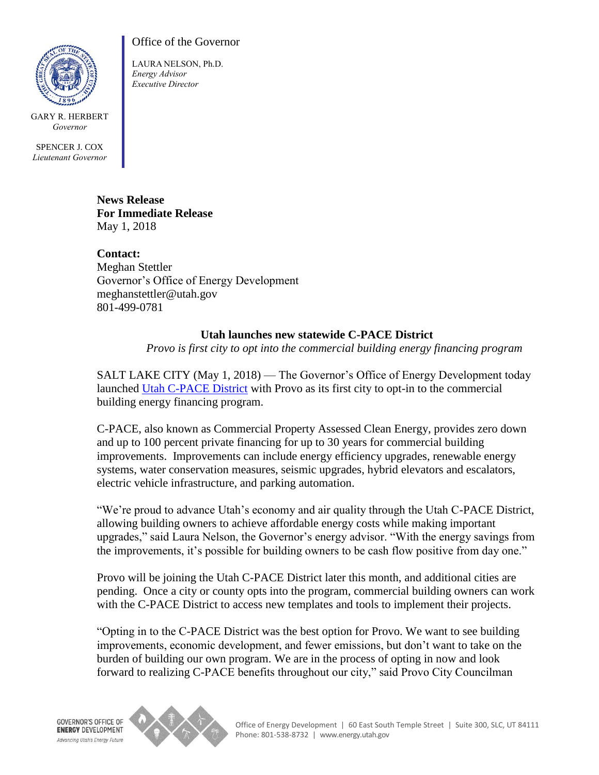

GARY R. HERBERT *Governor*

SPENCER J. COX *Lieutenant Governor*

## Office of the Governor

LAURA NELSON, Ph.D. *Energy Advisor Executive Director*

**News Release For Immediate Release** May 1, 2018

**Contact:** Meghan Stettler Governor's Office of Energy Development meghanstettler@utah.gov 801-499-0781

## **Utah launches new statewide C-PACE District**

*Provo is first city to opt into the commercial building energy financing program* 

SALT LAKE CITY (May 1, 2018) — The Governor's Office of Energy Development today launched [Utah C-PACE District](https://utahcpace.com/) with Provo as its first city to opt-in to the commercial building energy financing program.

C-PACE, also known as Commercial Property Assessed Clean Energy, provides zero down and up to 100 percent private financing for up to 30 years for commercial building improvements. Improvements can include energy efficiency upgrades, renewable energy systems, water conservation measures, seismic upgrades, hybrid elevators and escalators, electric vehicle infrastructure, and parking automation.

"We're proud to advance Utah's economy and air quality through the Utah C-PACE District, allowing building owners to achieve affordable energy costs while making important upgrades," said Laura Nelson, the Governor's energy advisor. "With the energy savings from the improvements, it's possible for building owners to be cash flow positive from day one."

Provo will be joining the Utah C-PACE District later this month, and additional cities are pending. Once a city or county opts into the program, commercial building owners can work with the C-PACE District to access new templates and tools to implement their projects.

"Opting in to the C-PACE District was the best option for Provo. We want to see building improvements, economic development, and fewer emissions, but don't want to take on the burden of building our own program. We are in the process of opting in now and look forward to realizing C-PACE benefits throughout our city," said Provo City Councilman